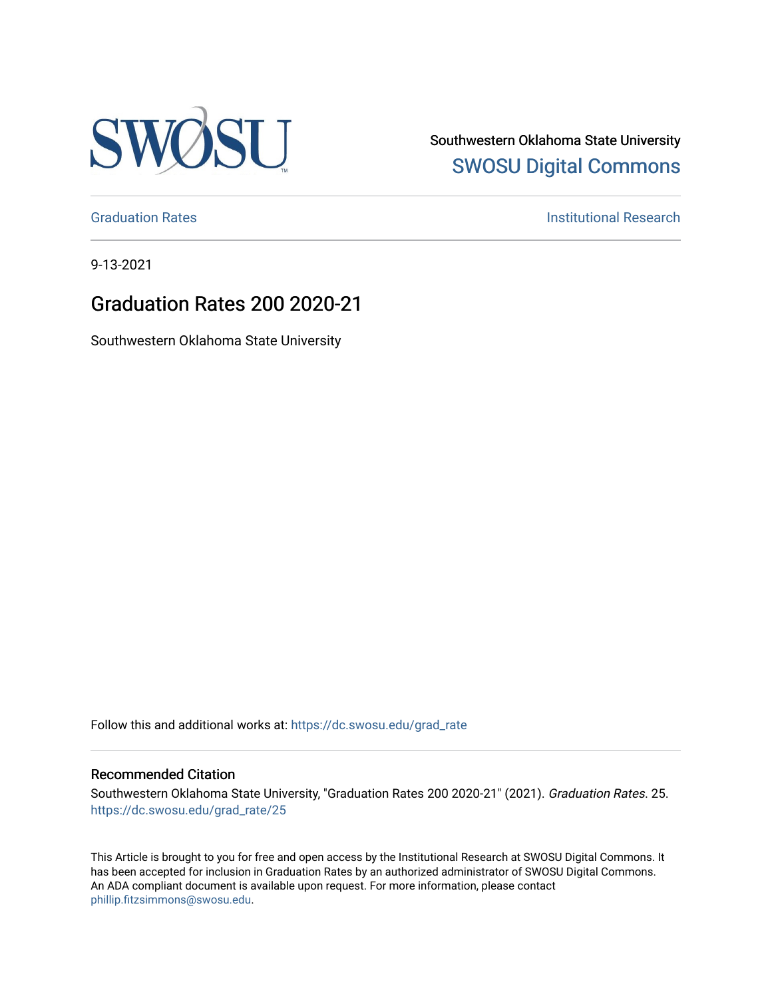

Southwestern Oklahoma State University [SWOSU Digital Commons](https://dc.swosu.edu/) 

[Graduation Rates](https://dc.swosu.edu/grad_rate) **Institutional Research Institutional Research** 

9-13-2021

## Graduation Rates 200 2020-21

Southwestern Oklahoma State University

Follow this and additional works at: [https://dc.swosu.edu/grad\\_rate](https://dc.swosu.edu/grad_rate?utm_source=dc.swosu.edu%2Fgrad_rate%2F25&utm_medium=PDF&utm_campaign=PDFCoverPages) 

#### Recommended Citation

Southwestern Oklahoma State University, "Graduation Rates 200 2020-21" (2021). Graduation Rates. 25. [https://dc.swosu.edu/grad\\_rate/25](https://dc.swosu.edu/grad_rate/25?utm_source=dc.swosu.edu%2Fgrad_rate%2F25&utm_medium=PDF&utm_campaign=PDFCoverPages)

This Article is brought to you for free and open access by the Institutional Research at SWOSU Digital Commons. It has been accepted for inclusion in Graduation Rates by an authorized administrator of SWOSU Digital Commons. An ADA compliant document is available upon request. For more information, please contact [phillip.fitzsimmons@swosu.edu](mailto:phillip.fitzsimmons@swosu.edu).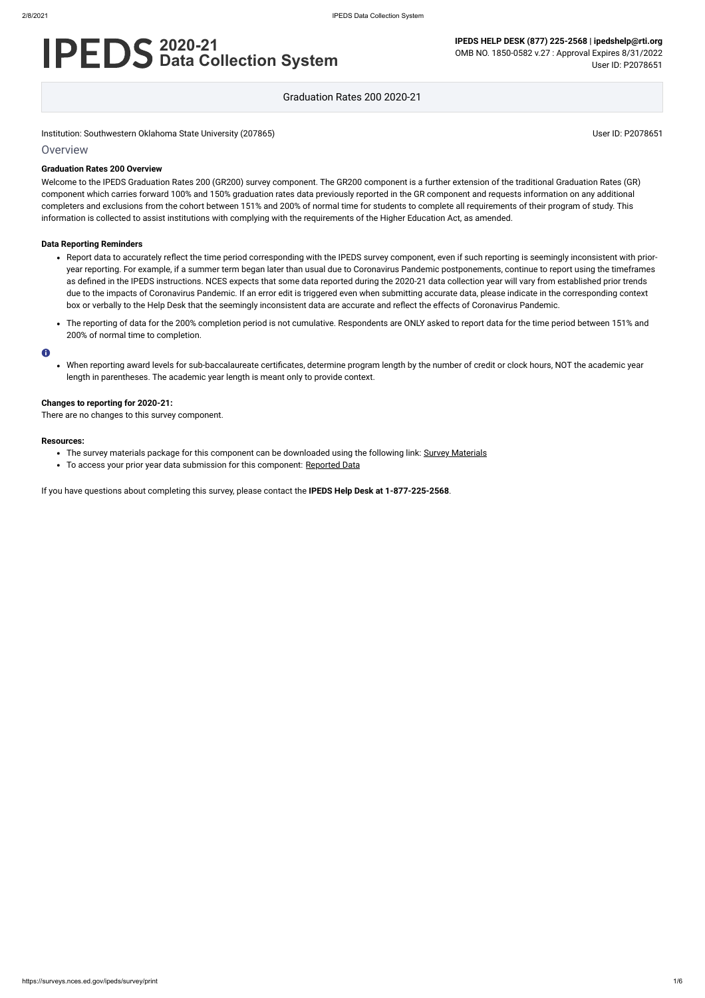# **2020-21 Data Collection System**

**IPEDS HELP DESK (877) 225-2568 | ipedshelp@rti.org** OMB NO. 1850-0582 v.27 : Approval Expires 8/31/2022 User ID: P2078651

Graduation Rates 200 2020-21

Institution: Southwestern Oklahoma State University (207865) Noticed that the state University (207865) User ID: P2078651

## **Overview**

## **Graduation Rates 200 Overview**

Welcome to the IPEDS Graduation Rates 200 (GR200) survey component. The GR200 component is a further extension of the traditional Graduation Rates (GR) component which carries forward 100% and 150% graduation rates data previously reported in the GR component and requests information on any additional completers and exclusions from the cohort between 151% and 200% of normal time for students to complete all requirements of their program of study. This information is collected to assist institutions with complying with the requirements of the Higher Education Act, as amended.

## **Data Reporting Reminders**

- The survey materials package for this component can be downloaded using the following link: Survey [Materials](https://surveys.nces.ed.gov/ipeds/public/survey-materials/index)
- To access your prior year data submission for this component: [Reported Data](https://surveys.nces.ed.gov/IPEDS_py/DataForms.aspx?f0e9e4efc4dfb8adabb2b3b1b0a1eef0edf1e0f4c4dfb8ada1f0eee0edc4dfb8cbadabb2b3b1b0aca1f0e9e4efc9dce8e0b8ceeaf0efe3f2e0eeefe0ede99bcae6e7dce3eae8dc9bceefdcefe09bd0e9e4f1e0edeee4eff4a1ebedeadee0eeeeb8e0f3efe0ede9dce7a1eddfefb8adaab3aaadabadac9bacadb5b0afb5abac9bcbc8)
- Report data to accurately reflect the time period corresponding with the IPEDS survey component, even if such reporting is seemingly inconsistent with prioryear reporting. For example, if a summer term began later than usual due to Coronavirus Pandemic postponements, continue to report using the timeframes as defined in the IPEDS instructions. NCES expects that some data reported during the 2020-21 data collection year will vary from established prior trends due to the impacts of Coronavirus Pandemic. If an error edit is triggered even when submitting accurate data, please indicate in the corresponding context box or verbally to the Help Desk that the seemingly inconsistent data are accurate and reflect the effects of Coronavirus Pandemic.
- The reporting of data for the 200% completion period is not cumulative. Respondents are ONLY asked to report data for the time period between 151% and 200% of normal time to completion.

#### $\bullet$

When reporting award levels for sub-baccalaureate certificates, determine program length by the number of credit or clock hours, NOT the academic year length in parentheses. The academic year length is meant only to provide context.

## **Changes to reporting for 2020-21:**

There are no changes to this survey component.

#### **Resources:**

If you have questions about completing this survey, please contact the **IPEDS Help Desk at 1-877-225-2568**.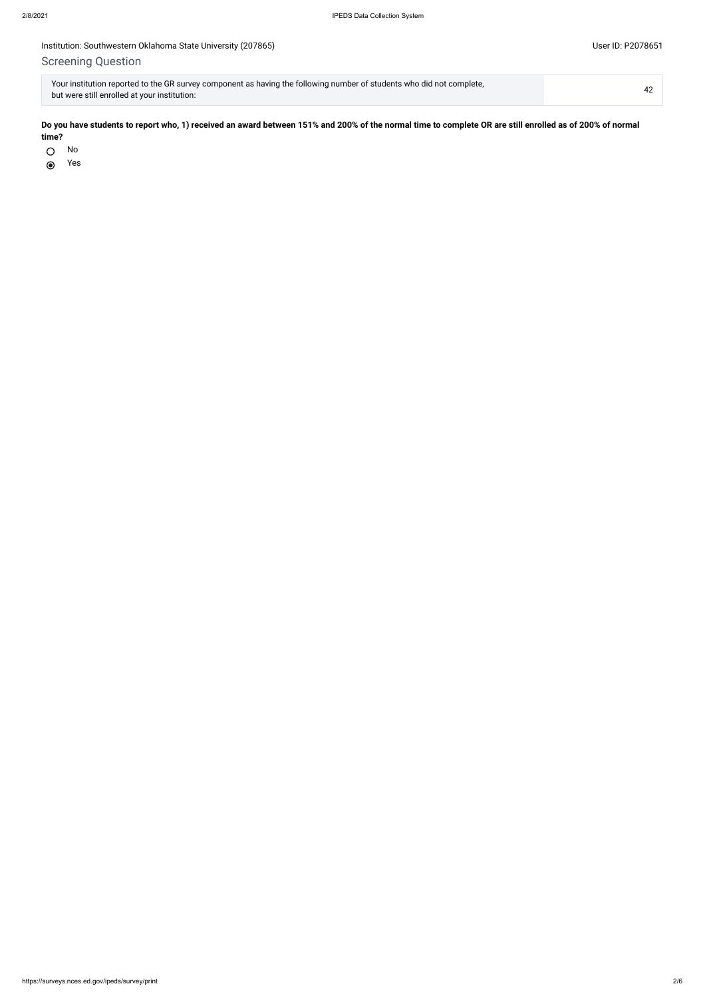## Institution: Southwestern Oklahoma State University (207865) Companies and Companies and Companies and Companies User ID: P2078651

## Screening Question

No  $\bigcirc$ 

Yes $\odot$ 

| Your institution reported to the GR survey component as having the following number of students who did not complete, |  |
|-----------------------------------------------------------------------------------------------------------------------|--|
| but were still enrolled at your institution:                                                                          |  |

**Do you have students to report who, 1) received an award between 151% and 200% of the normal time to complete OR are still enrolled as of 200% of normal time?**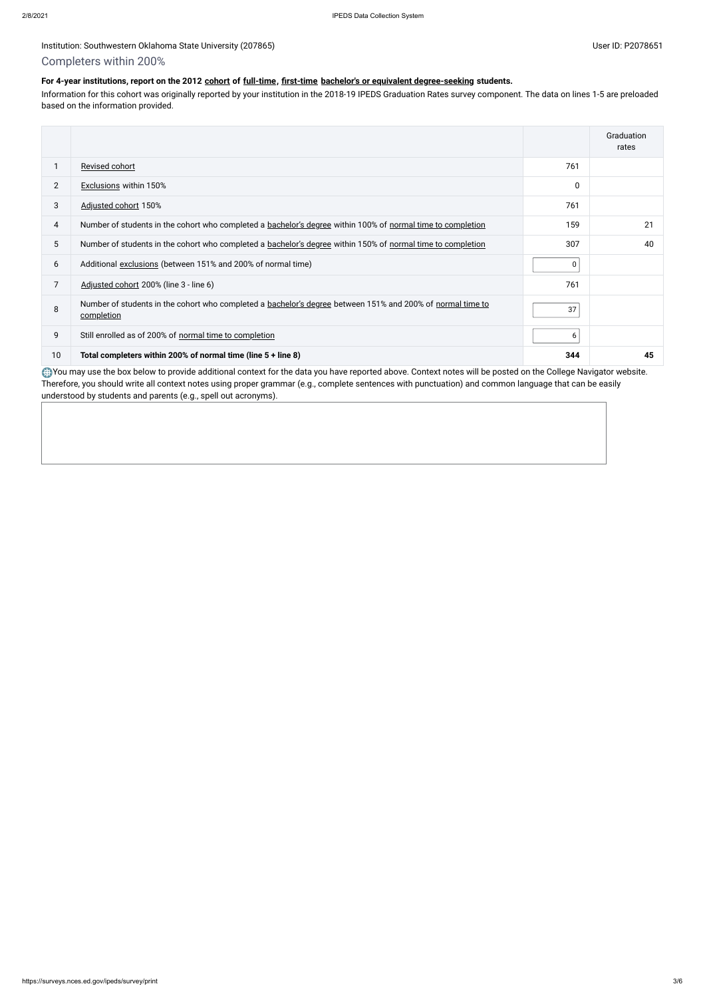## Institution: Southwestern Oklahoma State University (207865) User ID: P2078651

## Completers within 200%

## **For 4-year institutions, report on the 2012 [cohort](javascript:openglossary(119)) of [full-time,](javascript:openglossary(259)) [first-time](javascript:openglossary(241)) [bachelor's or equivalent degree-seeking](javascript:openglossary(79)) students.**

Information for this cohort was originally reported by your institution in the 2018-19 IPEDS Graduation Rates survey component. The data on lines 1-5 are preloaded based on the information provided.

You may use the box below to provide additional context for the data you have reported above. Context notes will be posted on the College Navigator website. Therefore, you should write all context notes using proper grammar (e.g., complete sentences with punctuation) and common language that can be easily understood by students and parents (e.g., spell out acronyms).

|                |                                                                                                                          |                  | Graduation<br>rates |
|----------------|--------------------------------------------------------------------------------------------------------------------------|------------------|---------------------|
|                | Revised cohort                                                                                                           | 761              |                     |
| $\overline{2}$ | <b>Exclusions within 150%</b>                                                                                            | 0                |                     |
| 3              | Adjusted cohort 150%                                                                                                     | 761              |                     |
| 4              | Number of students in the cohort who completed a bachelor's degree within 100% of normal time to completion              | 159              | 21                  |
| 5 <sup>5</sup> | Number of students in the cohort who completed a bachelor's degree within 150% of normal time to completion              | 307              | 40                  |
| 6              | Additional exclusions (between 151% and 200% of normal time)                                                             | 0 <sup>1</sup>   |                     |
| 7              | Adjusted cohort 200% (line 3 - line 6)                                                                                   | 761              |                     |
| 8              | Number of students in the cohort who completed a bachelor's degree between 151% and 200% of normal time to<br>completion | 37               |                     |
| 9              | Still enrolled as of 200% of normal time to completion                                                                   | $6 \overline{6}$ |                     |
| 10             | Total completers within 200% of normal time (line 5 + line 8)                                                            | 344              | 45                  |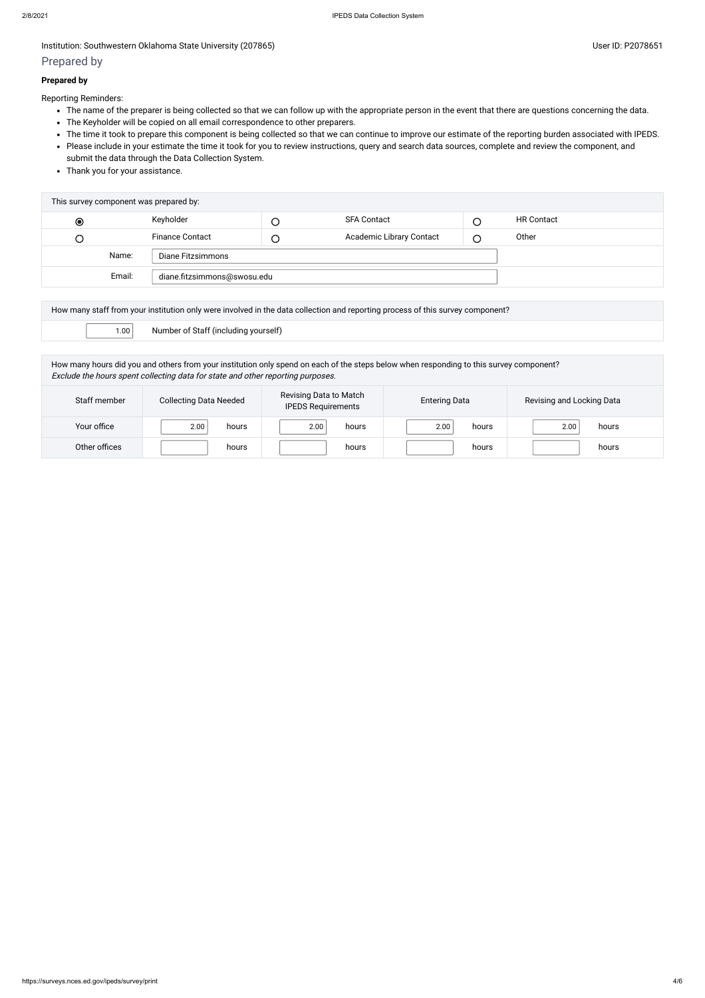## Institution: Southwestern Oklahoma State University (207865) Contract the Contract of Contract Contract of Contract Contract Contract Contract Contract Contract Contract Contract Contract Contract Contract Contract Contrac

## Prepared by

## **Prepared by**

Reporting Reminders:

- The name of the preparer is being collected so that we can follow up with the appropriate person in the event that there are questions concerning the data.
- The Keyholder will be copied on all email correspondence to other preparers.
- The time it took to prepare this component is being collected so that we can continue to improve our estimate of the reporting burden associated with IPEDS.
- Please include in your estimate the time it took for you to review instructions, query and search data sources, complete and review the component, and submit the data through the Data Collection System.
- Thank you for your assistance.

| This survey component was prepared by: |  |                        |        |                          |  |                   |
|----------------------------------------|--|------------------------|--------|--------------------------|--|-------------------|
| $\odot$                                |  | Keyholder              |        | <b>SFA Contact</b>       |  | <b>HR Contact</b> |
| Э                                      |  | <b>Finance Contact</b> | $\cup$ | Academic Library Contact |  | Other             |
| Name:<br>Diane Fitzsimmons             |  |                        |        |                          |  |                   |
| Email:<br>diane.fitzsimmons@swosu.edu  |  |                        |        |                          |  |                   |
|                                        |  |                        |        |                          |  |                   |

| How many staff from your institution only were involved in the data collection and reporting process of this survey component? |                                                                                                                                             |  |  |  |
|--------------------------------------------------------------------------------------------------------------------------------|---------------------------------------------------------------------------------------------------------------------------------------------|--|--|--|
|                                                                                                                                | $\left\vert \vphantom{\frac{1}{1}}\right\rangle$ 1.00 $\left\vert \vphantom{\frac{1}{1}}\right\rangle$ Number of Staff (including yourself) |  |  |  |

How many hours did you and others from your institution only spend on each of the steps below when responding to this survey component? Exclude the hours spent collecting data for state and other reporting purposes.

| Staff member  | <b>Collecting Data Needed</b> | Revising Data to Match<br><b>IPEDS Requirements</b> | <b>Entering Data</b> | Revising and Locking Data |
|---------------|-------------------------------|-----------------------------------------------------|----------------------|---------------------------|
| Your office   | 2.00<br>hours                 | 2.00<br>hours                                       | 2.00<br>hours        | hours<br>2.00             |
| Other offices | hours                         | hours                                               | hours                | hours                     |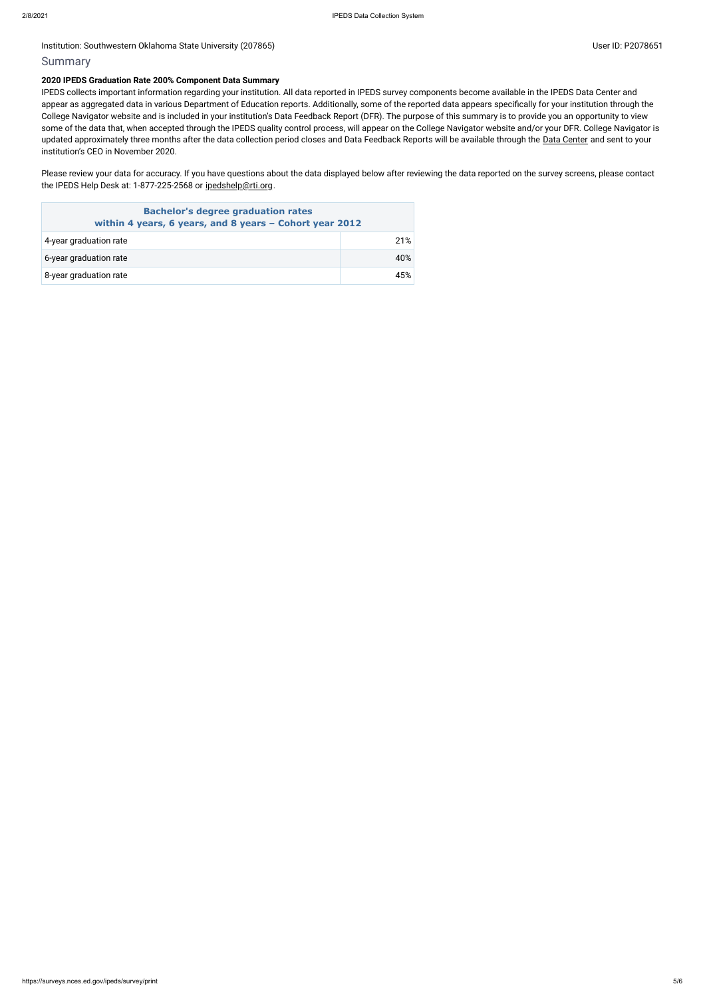## Institution: Southwestern Oklahoma State University (207865) Contract the Contract of Contract Contract of Contract Contract Contract Oklahoma State University (207865)

## Summary

## **2020 IPEDS Graduation Rate 200% Component Data Summary**

Please review your data for accuracy. If you have questions about the data displayed below after reviewing the data reported on the survey screens, please contact the IPEDS Help Desk at: 1-877-225-2568 or [ipedshelp@rti.org](mailto:ipedshelp@rti.org).

IPEDS collects important information regarding your institution. All data reported in IPEDS survey components become available in the IPEDS Data Center and appear as aggregated data in various Department of Education reports. Additionally, some of the reported data appears specifically for your institution through the College Navigator website and is included in your institution's Data Feedback Report (DFR). The purpose of this summary is to provide you an opportunity to view some of the data that, when accepted through the IPEDS quality control process, will appear on the College Navigator website and/or your DFR. College Navigator is updated approximately three months after the data collection period closes and Data Feedback Reports will be available through the Data [Center](https://nces.ed.gov/ipeds/use-the-data) and sent to your institution's CEO in November 2020.

| <b>Bachelor's degree graduation rates</b><br>within 4 years, 6 years, and 8 years - Cohort year 2012 |     |  |
|------------------------------------------------------------------------------------------------------|-----|--|
| 4-year graduation rate                                                                               | 21% |  |
| 6-year graduation rate                                                                               | 40% |  |
| 8-year graduation rate                                                                               | 45% |  |